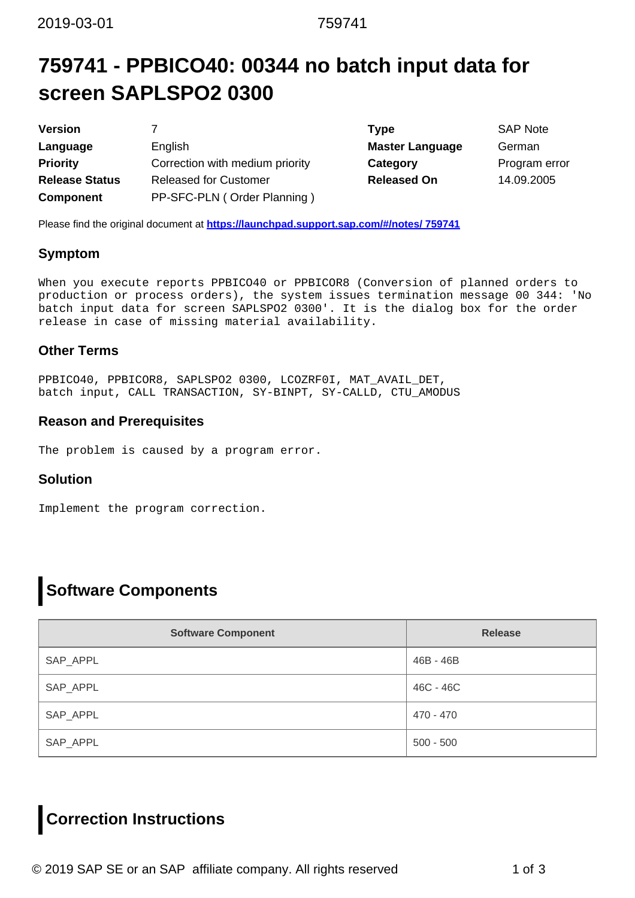## **759741 - PPBICO40: 00344 no batch input data for screen SAPLSPO2 0300**

| <b>Version</b>        |                                 | Type                   | <b>SAP Note</b> |
|-----------------------|---------------------------------|------------------------|-----------------|
| Language              | English                         | <b>Master Language</b> | German          |
| <b>Priority</b>       | Correction with medium priority | Category               | Program e       |
| <b>Release Status</b> | <b>Released for Customer</b>    | <b>Released On</b>     | 14.09.200       |
| <b>Component</b>      | PP-SFC-PLN (Order Planning)     |                        |                 |

**Master Language German Category** Program error **Released On** 14.09.2005

Please find the original document at **[https://launchpad.support.sap.com/#/notes/ 759741](https://launchpad.support.sap.com/#/notes/%0d%0a%0d%0a%0d%0a%0d%0a%0d%0a%0d%0a%20%20%20%20%20%20%20%20%20%20%20%20%20%20%20%20759741)**

### **Symptom**

When you execute reports PPBICO40 or PPBICOR8 (Conversion of planned orders to production or process orders), the system issues termination message 00 344: 'No batch input data for screen SAPLSPO2 0300'. It is the dialog box for the order release in case of missing material availability.

### **Other Terms**

PPBICO40, PPBICOR8, SAPLSPO2 0300, LCOZRF0I, MAT\_AVAIL\_DET, batch input, CALL TRANSACTION, SY-BINPT, SY-CALLD, CTU\_AMODUS

### **Reason and Prerequisites**

The problem is caused by a program error.

### **Solution**

Implement the program correction.

## **Software Components**

| <b>Software Component</b> | <b>Release</b> |
|---------------------------|----------------|
| SAP_APPL                  | 46B - 46B      |
| SAP_APPL                  | 46C - 46C      |
| SAP_APPL                  | 470 - 470      |
| SAP_APPL                  | $500 - 500$    |

## **Correction Instructions**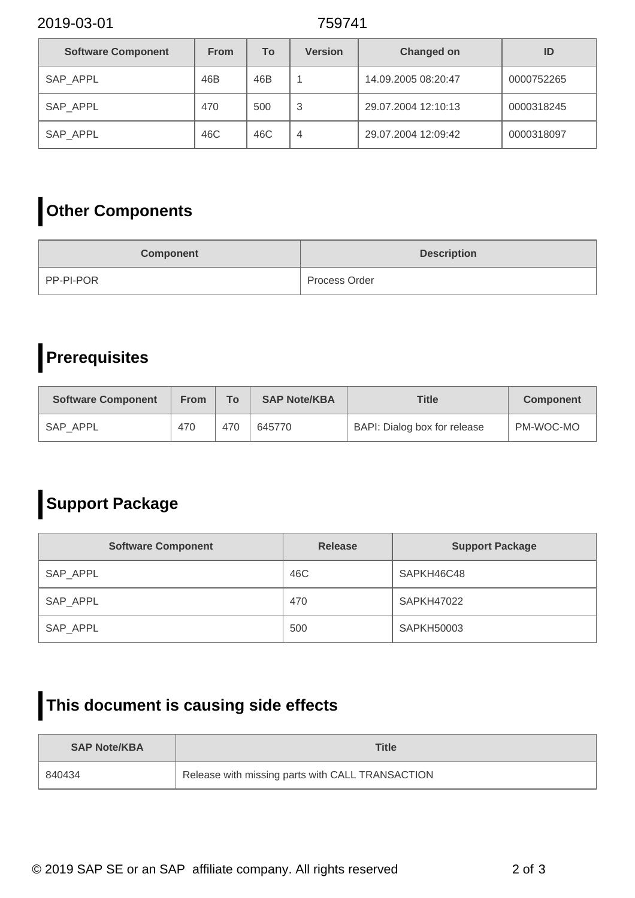2019-03-01 759741

| <b>Software Component</b> | <b>From</b> | <b>To</b> | <b>Version</b> | <b>Changed on</b>   | ID         |
|---------------------------|-------------|-----------|----------------|---------------------|------------|
| SAP APPL                  | 46B         | 46B       |                | 14.09.2005 08:20:47 | 0000752265 |
| SAP APPL                  | 470         | 500       | 3              | 29.07.2004 12:10:13 | 0000318245 |
| SAP_APPL                  | 46C         | 46C       | 4              | 29.07.2004 12:09:42 | 0000318097 |

# **Other Components**

| <b>Component</b> | <b>Description</b> |
|------------------|--------------------|
| PP-PI-POR        | Process Order      |

# **Prerequisites**

| <b>Software Component</b> | <b>From</b> | <b>To</b> | <b>SAP Note/KBA</b> | <b>Title</b>                 | <b>Component</b> |
|---------------------------|-------------|-----------|---------------------|------------------------------|------------------|
| SAP APPL                  | 470         | 470       | 645770              | BAPI: Dialog box for release | PM-WOC-MO        |

# **Support Package**

| <b>Software Component</b> | <b>Release</b> | <b>Support Package</b> |
|---------------------------|----------------|------------------------|
| SAP_APPL                  | 46C            | SAPKH46C48             |
| SAP_APPL                  | 470            | <b>SAPKH47022</b>      |
| SAP_APPL                  | 500            | <b>SAPKH50003</b>      |

## **This document is causing side effects**

| <b>SAP Note/KBA</b> | Title                                            |
|---------------------|--------------------------------------------------|
| 840434              | Release with missing parts with CALL TRANSACTION |